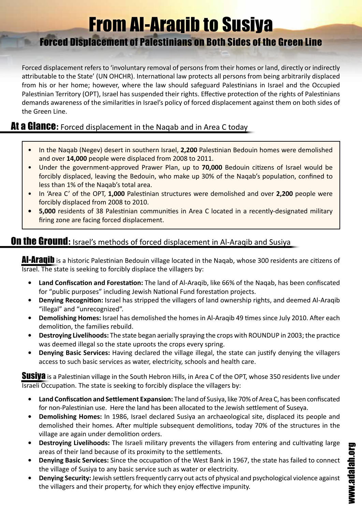## From Al-Araqib to Susiya

## Forced Displacement of Palestinians on Both Sides of the Green Line

Forced displacement refers to 'involuntary removal of persons from their homes or land, directly or indirectly attributable to the State' (UN OHCHR). International law protects all persons from being arbitrarily displaced from his or her home; however, where the law should safeguard Palestinians in Israel and the Occupied Palestinian Territory (OPT), Israel has suspended their rights. Effective protection of the rights of Palestinians demands awareness of the similarities in Israel's policy of forced displacement against them on both sides of the Green Line.

## At a Glance: Forced displacement in the Naqab and in Area C today

- In the Nagab (Negev) desert in southern Israel, **2,200** Palestinian Bedouin homes were demolished and over **14,000** people were displaced from 2008 to 2011.
- Under the government-approved Prawer Plan, up to 70,000 Bedouin citizens of Israel would be forcibly displaced, leaving the Bedouin, who make up 30% of the Naqab's population, confined to less than 1% of the Naqab's total area.
- In 'Area C' of the OPT, 1,000 Palestinian structures were demolished and over 2,200 people were forcibly displaced from 2008 to 2010.
- **5,000** residents of 38 Palestinian communities in Area C located in a recently-designated military firing zone are facing forced displacement.

## **On the Ground:** Israel's methods of forced displacement in Al-Araqib and Susiya

Al-Araqib is a historic Palestinian Bedouin village located in the Naqab, whose 300 residents are citizens of Israel. The state is seeking to forcibly displace the villagers by:

- **Land Confiscation and Forestation:** The land of Al-Araqib, like 66% of the Naqab, has been confiscated for "public purposes" including Jewish National Fund forestation projects.
- **• Denying Recognition:** Israel has stripped the villagers of land ownership rights, and deemed Al-Araqib "illegal" and "unrecognized".
- **Demolishing Homes:** Israel has demolished the homes in Al-Araqib 49 times since July 2010. After each demolition, the families rebuild.
- **Destroying Livelihoods:** The state began aerially spraying the crops with ROUNDUP in 2003; the practice was deemed illegal so the state uproots the crops every spring.
- **Denying Basic Services:** Having declared the village illegal, the state can justify denying the villagers access to such basic services as water, electricity, schools and health care.

**Susiya** is a Palestinian village in the South Hebron Hills, in Area C of the OPT, whose 350 residents live under Israeli Occupation. The state is seeking to forcibly displace the villagers by:

- **Land Confiscation and Settlement Expansion:** The land of Susiya, like 70% of Area C, has been confiscated for non-Palestinian use. Here the land has been allocated to the Jewish settlement of Suseya.
- **• Demolishing Homes:** In 1986, Israel declared Susiya an archaeological site, displaced its people and demolished their homes. After multiple subsequent demolitions, today 70% of the structures in the village are again under demolition orders.
- **Destroying Livelihoods:** The Israeli military prevents the villagers from entering and cultivating large areas of their land because of its proximity to the settlements.
- **Denying Basic Services:** Since the occupation of the West Bank in 1967, the state has failed to connect the village of Susiya to any basic service such as water or electricity.
- **Denying Security:** Jewish settlers frequently carry out acts of physical and psychological violence against the villagers and their property, for which they enjoy effective impunity.